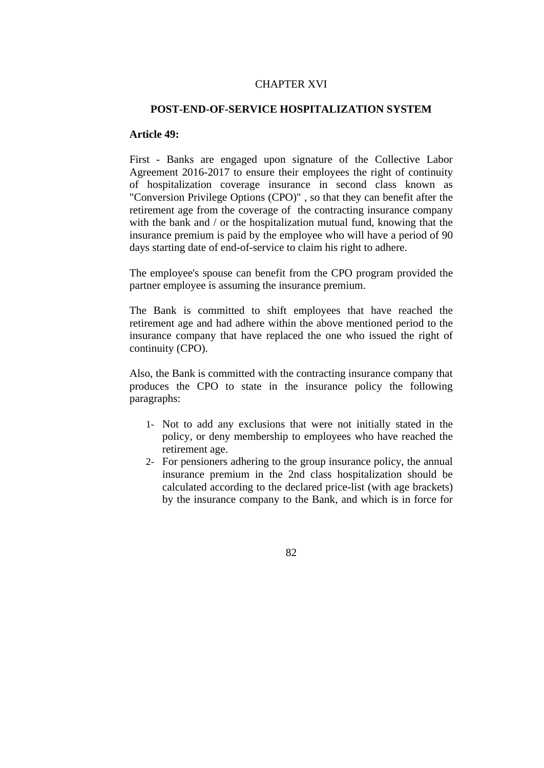## CHAPTER XVI

## **POST-END-OF-SERVICE HOSPITALIZATION SYSTEM**

## **Article 49:**

First - Banks are engaged upon signature of the Collective Labor Agreement 2016-2017 to ensure their employees the right of continuity of hospitalization coverage insurance in second class known as "Conversion Privilege Options (CPO)" , so that they can benefit after the retirement age from the coverage of the contracting insurance company with the bank and / or the hospitalization mutual fund, knowing that the insurance premium is paid by the employee who will have a period of 90 days starting date of end-of-service to claim his right to adhere.

The employee's spouse can benefit from the CPO program provided the partner employee is assuming the insurance premium.

The Bank is committed to shift employees that have reached the retirement age and had adhere within the above mentioned period to the insurance company that have replaced the one who issued the right of continuity (CPO).

Also, the Bank is committed with the contracting insurance company that produces the CPO to state in the insurance policy the following paragraphs:

- 1- Not to add any exclusions that were not initially stated in the policy, or deny membership to employees who have reached the retirement age.
- 2- For pensioners adhering to the group insurance policy, the annual insurance premium in the 2nd class hospitalization should be calculated according to the declared price-list (with age brackets) by the insurance company to the Bank, and which is in force for

82